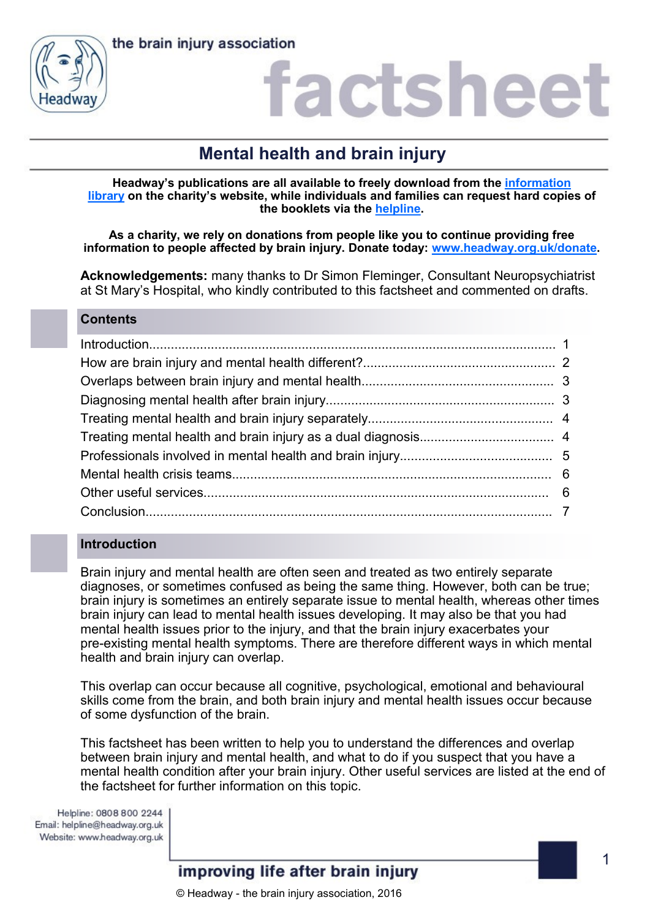



### actshee

### **Mental health and brain injury**

**Headway's publications are all available to freely download from the [information](https://www.headway.org.uk/about-brain-injury/individuals/information-library/)  [library](https://www.headway.org.uk/about-brain-injury/individuals/information-library/) on the charity's website, while individuals and families can request hard copies of the booklets via the [helpline.](https://www.headway.org.uk/supporting-you/helpline/)**

**As a charity, we rely on donations from people like you to continue providing free information to people affected by brain injury. Donate today: [www.headway.org.uk/donate.](http://www.headway.org.uk/donate)**

**Acknowledgements:** many thanks to Dr Simon Fleminger, Consultant Neuropsychiatrist at St Mary's Hospital, who kindly contributed to this factsheet and commented on drafts.

### **Contents**

### **Introduction**

Brain injury and mental health are often seen and treated as two entirely separate diagnoses, or sometimes confused as being the same thing. However, both can be true; brain injury is sometimes an entirely separate issue to mental health, whereas other times brain injury can lead to mental health issues developing. It may also be that you had mental health issues prior to the injury, and that the brain injury exacerbates your pre-existing mental health symptoms. There are therefore different ways in which mental health and brain injury can overlap.

This overlap can occur because all cognitive, psychological, emotional and behavioural skills come from the brain, and both brain injury and mental health issues occur because of some dysfunction of the brain.

This factsheet has been written to help you to understand the differences and overlap between brain injury and mental health, and what to do if you suspect that you have a mental health condition after your brain injury. Other useful services are listed at the end of the factsheet for further information on this topic.

Helpline: 0808 800 2244 Email: helpline@headway.org.uk Website: www.headway.org.uk

### improving life after brain injury

© Headway - the brain injury association, 2016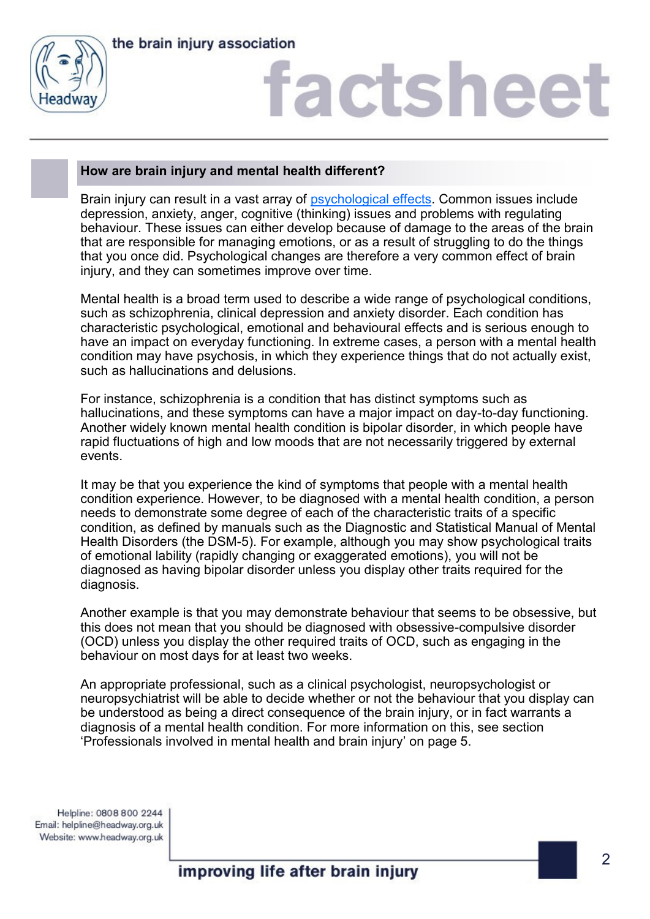

# factshee<sup>®</sup>

### **How are brain injury and mental health different?**

Brain injury can result in a vast array of [psychological effects.](https://www.headway.org.uk/media/3999/psychological-effects-of-brain-injury-e-booklet.pdf) Common issues include depression, anxiety, anger, cognitive (thinking) issues and problems with regulating behaviour. These issues can either develop because of damage to the areas of the brain that are responsible for managing emotions, or as a result of struggling to do the things that you once did. Psychological changes are therefore a very common effect of brain injury, and they can sometimes improve over time.

Mental health is a broad term used to describe a wide range of psychological conditions, such as schizophrenia, clinical depression and anxiety disorder. Each condition has characteristic psychological, emotional and behavioural effects and is serious enough to have an impact on everyday functioning. In extreme cases, a person with a mental health condition may have psychosis, in which they experience things that do not actually exist, such as hallucinations and delusions.

For instance, schizophrenia is a condition that has distinct symptoms such as hallucinations, and these symptoms can have a major impact on day-to-day functioning. Another widely known mental health condition is bipolar disorder, in which people have rapid fluctuations of high and low moods that are not necessarily triggered by external events.

It may be that you experience the kind of symptoms that people with a mental health condition experience. However, to be diagnosed with a mental health condition, a person needs to demonstrate some degree of each of the characteristic traits of a specific condition, as defined by manuals such as the Diagnostic and Statistical Manual of Mental Health Disorders (the DSM-5). For example, although you may show psychological traits of emotional lability (rapidly changing or exaggerated emotions), you will not be diagnosed as having bipolar disorder unless you display other traits required for the diagnosis.

Another example is that you may demonstrate behaviour that seems to be obsessive, but this does not mean that you should be diagnosed with obsessive-compulsive disorder (OCD) unless you display the other required traits of OCD, such as engaging in the behaviour on most days for at least two weeks.

An appropriate professional, such as a clinical psychologist, neuropsychologist or neuropsychiatrist will be able to decide whether or not the behaviour that you display can be understood as being a direct consequence of the brain injury, or in fact warrants a diagnosis of a mental health condition. For more information on this, see section 'Professionals involved in mental health and brain injury' on page 5.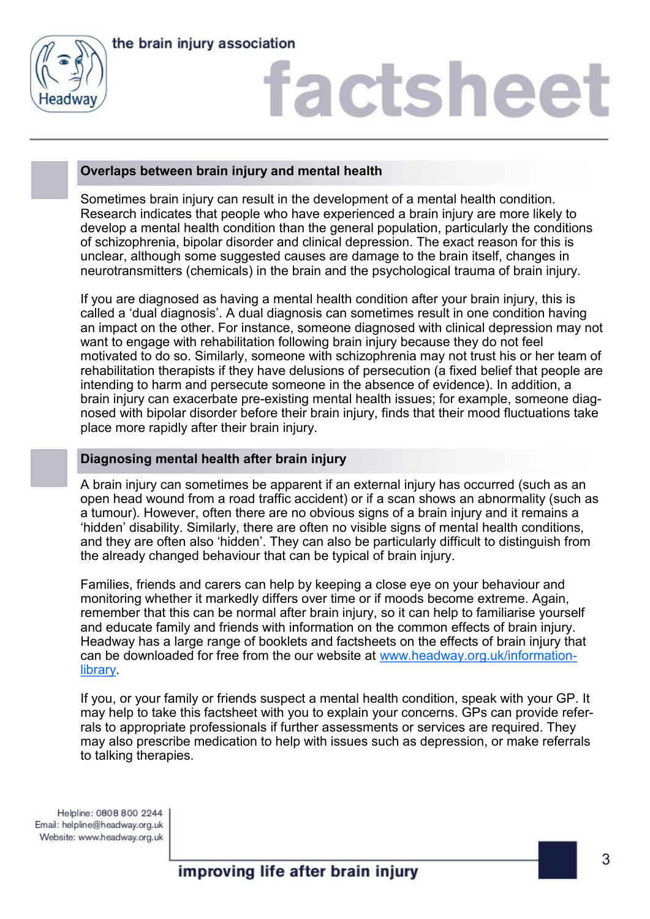

# factsheet

### **Overlaps between brain injury and mental health**

Sometimes brain injury can result in the development of a mental health condition. Research indicates that people who have experienced a brain injury are more likely to develop a mental health condition than the general population, particularly the conditions of schizophrenia, bipolar disorder and clinical depression. The exact reason for this is unclear, although some suggested causes are damage to the brain itself, changes in neurotransmitters (chemicals) in the brain and the psychological trauma of brain injury.

If you are diagnosed as having a mental health condition after your brain injury, this is called a 'dual diagnosis'. A dual diagnosis can sometimes result in one condition having an impact on the other. For instance, someone diagnosed with clinical depression may not want to engage with rehabilitation following brain injury because they do not feel motivated to do so. Similarly, someone with schizophrenia may not trust his or her team of rehabilitation therapists if they have delusions of persecution (a fixed belief that people are intending to harm and persecute someone in the absence of evidence). In addition, a brain injury can exacerbate pre-existing mental health issues; for example, someone diagnosed with bipolar disorder before their brain injury, finds that their mood fluctuations take place more rapidly after their brain injury.

### **Diagnosing mental health after brain injury**

A brain injury can sometimes be apparent if an external injury has occurred (such as an open head wound from a road traffic accident) or if a scan shows an abnormality (such as a tumour). However, often there are no obvious signs of a brain injury and it remains a 'hidden' disability. Similarly, there are often no visible signs of mental health conditions, and they are often also 'hidden'. They can also be particularly difficult to distinguish from the already changed behaviour that can be typical of brain injury.

Families, friends and carers can help by keeping a close eye on your behaviour and monitoring whether it markedly differs over time or if moods become extreme. Again, remember that this can be normal after brain injury, so it can help to familiarise yourself and educate family and friends with information on the common effects of brain injury. Headway has a large range of booklets and factsheets on the effects of brain injury that can be downloaded for free from the our website at [www.headway.org.uk/information](http://www.headway.org.uk/information-library)[library.](http://www.headway.org.uk/information-library)

If you, or your family or friends suspect a mental health condition, speak with your GP. It may help to take this factsheet with you to explain your concerns. GPs can provide referrals to appropriate professionals if further assessments or services are required. They may also prescribe medication to help with issues such as depression, or make referrals to talking therapies.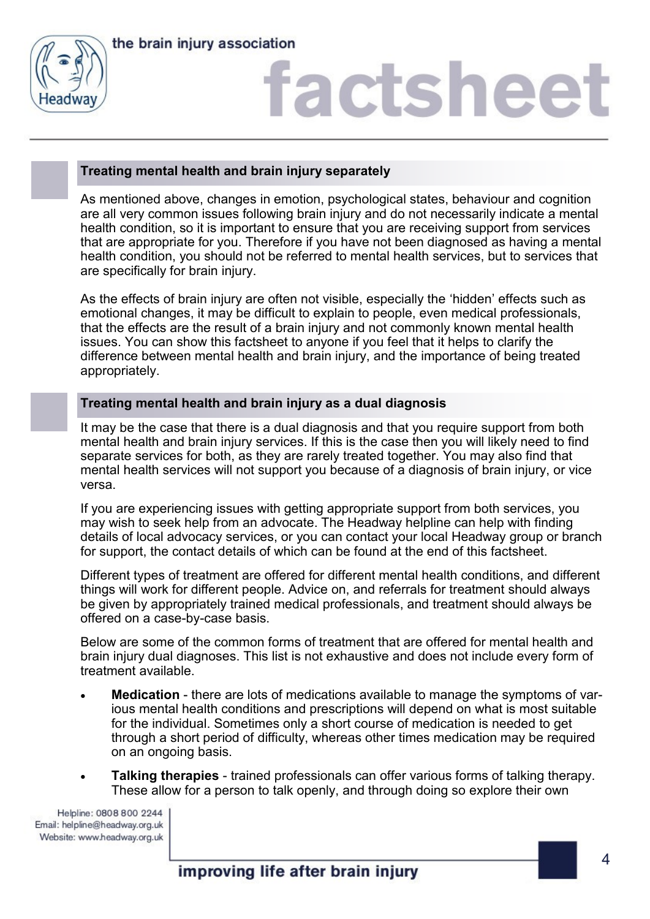

### factsheet

### **Treating mental health and brain injury separately**

As mentioned above, changes in emotion, psychological states, behaviour and cognition are all very common issues following brain injury and do not necessarily indicate a mental health condition, so it is important to ensure that you are receiving support from services that are appropriate for you. Therefore if you have not been diagnosed as having a mental health condition, you should not be referred to mental health services, but to services that are specifically for brain injury.

As the effects of brain injury are often not visible, especially the 'hidden' effects such as emotional changes, it may be difficult to explain to people, even medical professionals, that the effects are the result of a brain injury and not commonly known mental health issues. You can show this factsheet to anyone if you feel that it helps to clarify the difference between mental health and brain injury, and the importance of being treated appropriately.

### **Treating mental health and brain injury as a dual diagnosis**

It may be the case that there is a dual diagnosis and that you require support from both mental health and brain injury services. If this is the case then you will likely need to find separate services for both, as they are rarely treated together. You may also find that mental health services will not support you because of a diagnosis of brain injury, or vice versa.

If you are experiencing issues with getting appropriate support from both services, you may wish to seek help from an advocate. The Headway helpline can help with finding details of local advocacy services, or you can contact your local Headway group or branch for support, the contact details of which can be found at the end of this factsheet.

Different types of treatment are offered for different mental health conditions, and different things will work for different people. Advice on, and referrals for treatment should always be given by appropriately trained medical professionals, and treatment should always be offered on a case-by-case basis.

Below are some of the common forms of treatment that are offered for mental health and brain injury dual diagnoses. This list is not exhaustive and does not include every form of treatment available.

- **Medication** there are lots of medications available to manage the symptoms of various mental health conditions and prescriptions will depend on what is most suitable for the individual. Sometimes only a short course of medication is needed to get through a short period of difficulty, whereas other times medication may be required on an ongoing basis.
- **Talking therapies** trained professionals can offer various forms of talking therapy. These allow for a person to talk openly, and through doing so explore their own

Helpline: 0808 800 2244 Email: helpline@headway.org.uk Website: www.headway.org.uk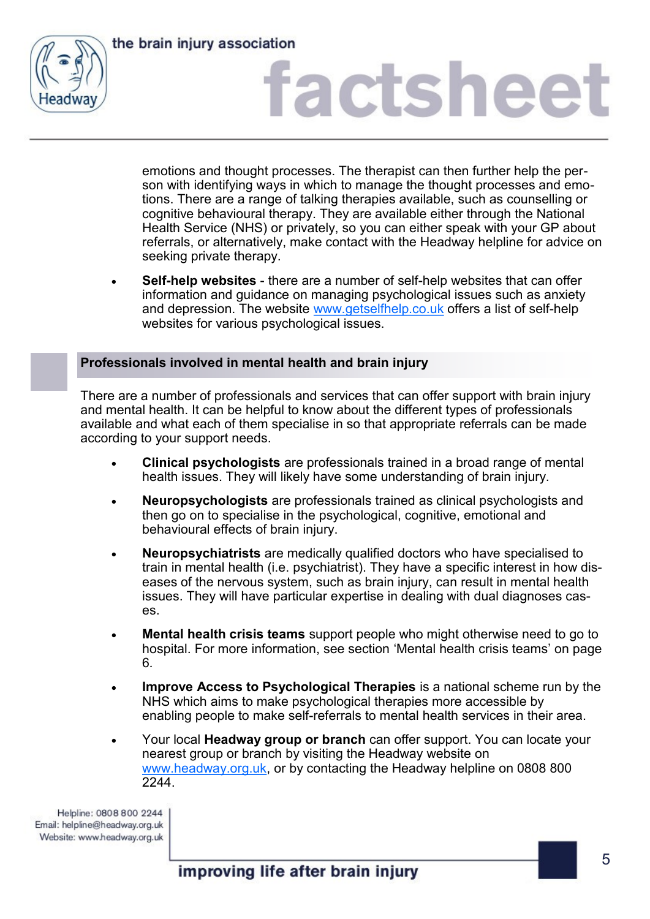

### factsheet

emotions and thought processes. The therapist can then further help the person with identifying ways in which to manage the thought processes and emotions. There are a range of talking therapies available, such as counselling or cognitive behavioural therapy. They are available either through the National Health Service (NHS) or privately, so you can either speak with your GP about referrals, or alternatively, make contact with the Headway helpline for advice on seeking private therapy.

• **Self-help websites** - there are a number of self-help websites that can offer information and guidance on managing psychological issues such as anxiety and depression. The website [www.getselfhelp.co.uk](http://www.getselfhelp.co.uk) offers a list of self-help websites for various psychological issues.

### **Professionals involved in mental health and brain injury**

There are a number of professionals and services that can offer support with brain injury and mental health. It can be helpful to know about the different types of professionals available and what each of them specialise in so that appropriate referrals can be made according to your support needs.

- **Clinical psychologists** are professionals trained in a broad range of mental health issues. They will likely have some understanding of brain injury.
- **Neuropsychologists** are professionals trained as clinical psychologists and then go on to specialise in the psychological, cognitive, emotional and behavioural effects of brain injury.
- **Neuropsychiatrists** are medically qualified doctors who have specialised to train in mental health (i.e. psychiatrist). They have a specific interest in how diseases of the nervous system, such as brain injury, can result in mental health issues. They will have particular expertise in dealing with dual diagnoses cases.
- **Mental health crisis teams** support people who might otherwise need to go to hospital. For more information, see section 'Mental health crisis teams' on page 6*.*
- **Improve Access to Psychological Therapies** is a national scheme run by the NHS which aims to make psychological therapies more accessible by enabling people to make self-referrals to mental health services in their area.
- Your local **Headway group or branch** can offer support. You can locate your nearest group or branch by visiting the Headway website on [www.headway.org.uk,](http://www.headway.org.uk) or by contacting the Headway helpline on 0808 800 2244.

Helpline: 0808 800 2244 Email: helpline@headway.org.uk Website: www.headway.org.uk

improving life after brain injury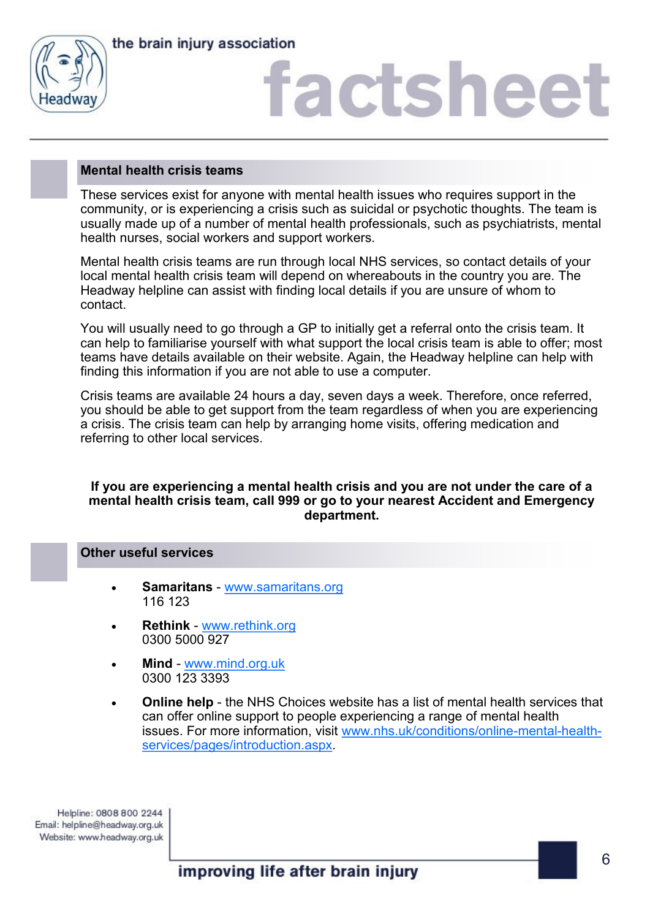



### factshee<sup>®</sup>

### **Mental health crisis teams**

These services exist for anyone with mental health issues who requires support in the community, or is experiencing a crisis such as suicidal or psychotic thoughts. The team is usually made up of a number of mental health professionals, such as psychiatrists, mental health nurses, social workers and support workers.

Mental health crisis teams are run through local NHS services, so contact details of your local mental health crisis team will depend on whereabouts in the country you are. The Headway helpline can assist with finding local details if you are unsure of whom to contact.

You will usually need to go through a GP to initially get a referral onto the crisis team. It can help to familiarise yourself with what support the local crisis team is able to offer; most teams have details available on their website. Again, the Headway helpline can help with finding this information if you are not able to use a computer.

Crisis teams are available 24 hours a day, seven days a week. Therefore, once referred, you should be able to get support from the team regardless of when you are experiencing a crisis. The crisis team can help by arranging home visits, offering medication and referring to other local services.

### **If you are experiencing a mental health crisis and you are not under the care of a mental health crisis team, call 999 or go to your nearest Accident and Emergency department.**

### **Other useful services**

- **Samaritans**  [www.samaritans.org](http://www.samaritans.org) 116 123
- **Rethink** [www.rethink.org](http://www.rethink.org) 0300 5000 927
- **Mind** [www.mind.org.uk](http://www.mind.org.uk) 0300 123 3393
- **Online help**  the NHS Choices website has a list of mental health services that can offer online support to people experiencing a range of mental health issues. For more information, visit [www.nhs.uk/conditions/online](http://www.nhs.uk/conditions/online-mental-health-services/pages/introduction.aspx)-mental-health[services/pages/introduction.aspx.](http://www.nhs.uk/conditions/online-mental-health-services/pages/introduction.aspx)